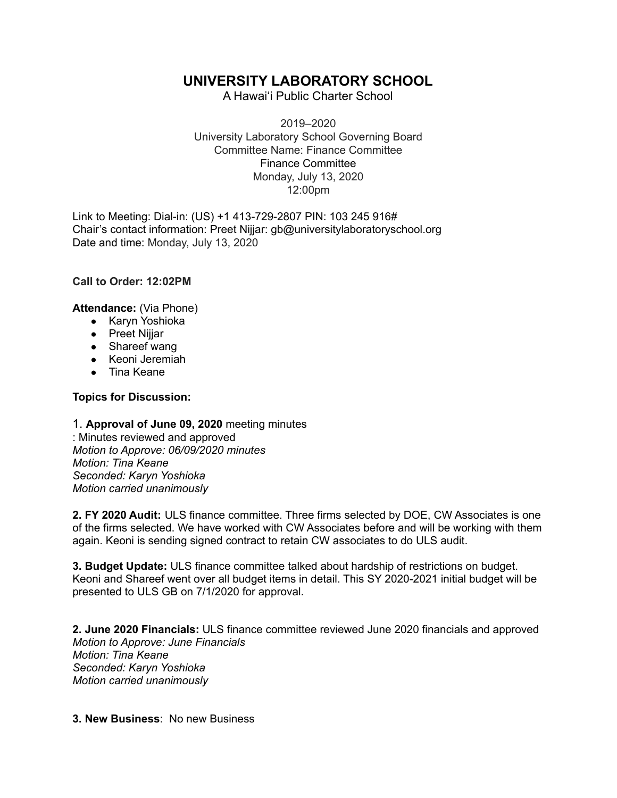## **UNIVERSITY LABORATORY SCHOOL**

A Hawai'i Public Charter School

2019–2020 University Laboratory School Governing Board Committee Name: Finance Committee Finance Committee Monday, July 13, 2020 12:00pm

Link to Meeting: Dial-in: (US) +1 413-729-2807 PIN: 103 245 916# Chair's contact information: Preet Nijjar: gb@universitylaboratoryschool.org Date and time: Monday, July 13, 2020

**Call to Order: 12:02PM**

**Attendance:** (Via Phone)

- Karyn Yoshioka
- Preet Nijjar
- Shareef wang
- Keoni Jeremiah
- Tina Keane

## **Topics for Discussion:**

1. **Approval of June 09, 2020** meeting minutes : Minutes reviewed and approved *Motion to Approve: 06/09/2020 minutes Motion: Tina Keane Seconded: Karyn Yoshioka Motion carried unanimously*

**2. FY 2020 Audit:** ULS finance committee. Three firms selected by DOE, CW Associates is one of the firms selected. We have worked with CW Associates before and will be working with them again. Keoni is sending signed contract to retain CW associates to do ULS audit.

**3. Budget Update:** ULS finance committee talked about hardship of restrictions on budget. Keoni and Shareef went over all budget items in detail. This SY 2020-2021 initial budget will be presented to ULS GB on 7/1/2020 for approval.

**2. June 2020 Financials:** ULS finance committee reviewed June 2020 financials and approved *Motion to Approve: June Financials Motion: Tina Keane Seconded: Karyn Yoshioka Motion carried unanimously*

**3. New Business**: No new Business